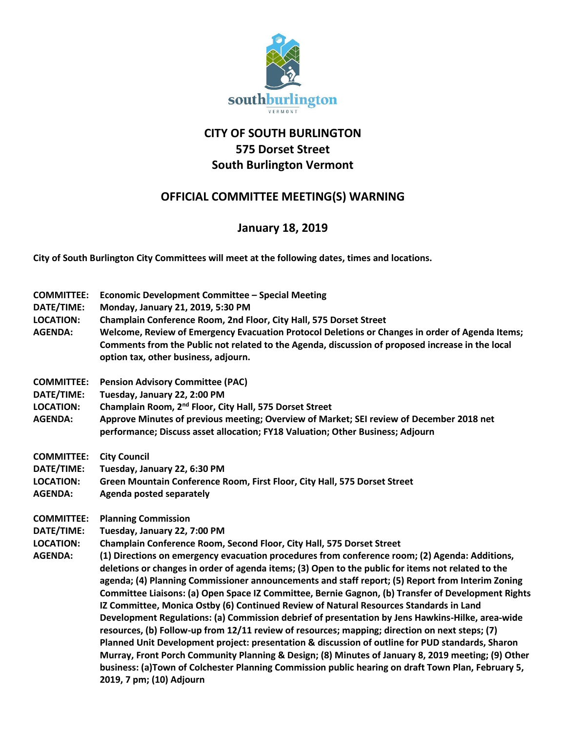

## **CITY OF SOUTH BURLINGTON 575 Dorset Street South Burlington Vermont**

## **OFFICIAL COMMITTEE MEETING(S) WARNING**

## **January 18, 2019**

**City of South Burlington City Committees will meet at the following dates, times and locations.** 

| <b>COMMITTEE:</b><br>DATE/TIME:<br><b>LOCATION:</b><br><b>AGENDA:</b> | Economic Development Committee - Special Meeting<br>Monday, January 21, 2019, 5:30 PM<br>Champlain Conference Room, 2nd Floor, City Hall, 575 Dorset Street<br>Welcome, Review of Emergency Evacuation Protocol Deletions or Changes in order of Agenda Items;<br>Comments from the Public not related to the Agenda, discussion of proposed increase in the local<br>option tax, other business, adjourn.                                                                                                                                                                                                                                                                                                                                                                                                                                                                                                                                                                                                                                                                                                                                                                                        |
|-----------------------------------------------------------------------|---------------------------------------------------------------------------------------------------------------------------------------------------------------------------------------------------------------------------------------------------------------------------------------------------------------------------------------------------------------------------------------------------------------------------------------------------------------------------------------------------------------------------------------------------------------------------------------------------------------------------------------------------------------------------------------------------------------------------------------------------------------------------------------------------------------------------------------------------------------------------------------------------------------------------------------------------------------------------------------------------------------------------------------------------------------------------------------------------------------------------------------------------------------------------------------------------|
| <b>COMMITTEE:</b><br>DATE/TIME:<br><b>LOCATION:</b><br><b>AGENDA:</b> | <b>Pension Advisory Committee (PAC)</b><br>Tuesday, January 22, 2:00 PM<br>Champlain Room, 2 <sup>nd</sup> Floor, City Hall, 575 Dorset Street<br>Approve Minutes of previous meeting; Overview of Market; SEI review of December 2018 net<br>performance; Discuss asset allocation; FY18 Valuation; Other Business; Adjourn                                                                                                                                                                                                                                                                                                                                                                                                                                                                                                                                                                                                                                                                                                                                                                                                                                                                      |
| <b>COMMITTEE:</b><br>DATE/TIME:<br><b>LOCATION:</b><br><b>AGENDA:</b> | <b>City Council</b><br>Tuesday, January 22, 6:30 PM<br>Green Mountain Conference Room, First Floor, City Hall, 575 Dorset Street<br>Agenda posted separately                                                                                                                                                                                                                                                                                                                                                                                                                                                                                                                                                                                                                                                                                                                                                                                                                                                                                                                                                                                                                                      |
| <b>COMMITTEE:</b><br>DATE/TIME:<br><b>LOCATION:</b><br><b>AGENDA:</b> | <b>Planning Commission</b><br>Tuesday, January 22, 7:00 PM<br>Champlain Conference Room, Second Floor, City Hall, 575 Dorset Street<br>(1) Directions on emergency evacuation procedures from conference room; (2) Agenda: Additions,<br>deletions or changes in order of agenda items; (3) Open to the public for items not related to the<br>agenda; (4) Planning Commissioner announcements and staff report; (5) Report from Interim Zoning<br>Committee Liaisons: (a) Open Space IZ Committee, Bernie Gagnon, (b) Transfer of Development Rights<br>IZ Committee, Monica Ostby (6) Continued Review of Natural Resources Standards in Land<br>Development Regulations: (a) Commission debrief of presentation by Jens Hawkins-Hilke, area-wide<br>resources, (b) Follow-up from 12/11 review of resources; mapping; direction on next steps; (7)<br>Planned Unit Development project: presentation & discussion of outline for PUD standards, Sharon<br>Murray, Front Porch Community Planning & Design; (8) Minutes of January 8, 2019 meeting; (9) Other<br>business: (a)Town of Colchester Planning Commission public hearing on draft Town Plan, February 5,<br>2019, 7 pm; (10) Adjourn |